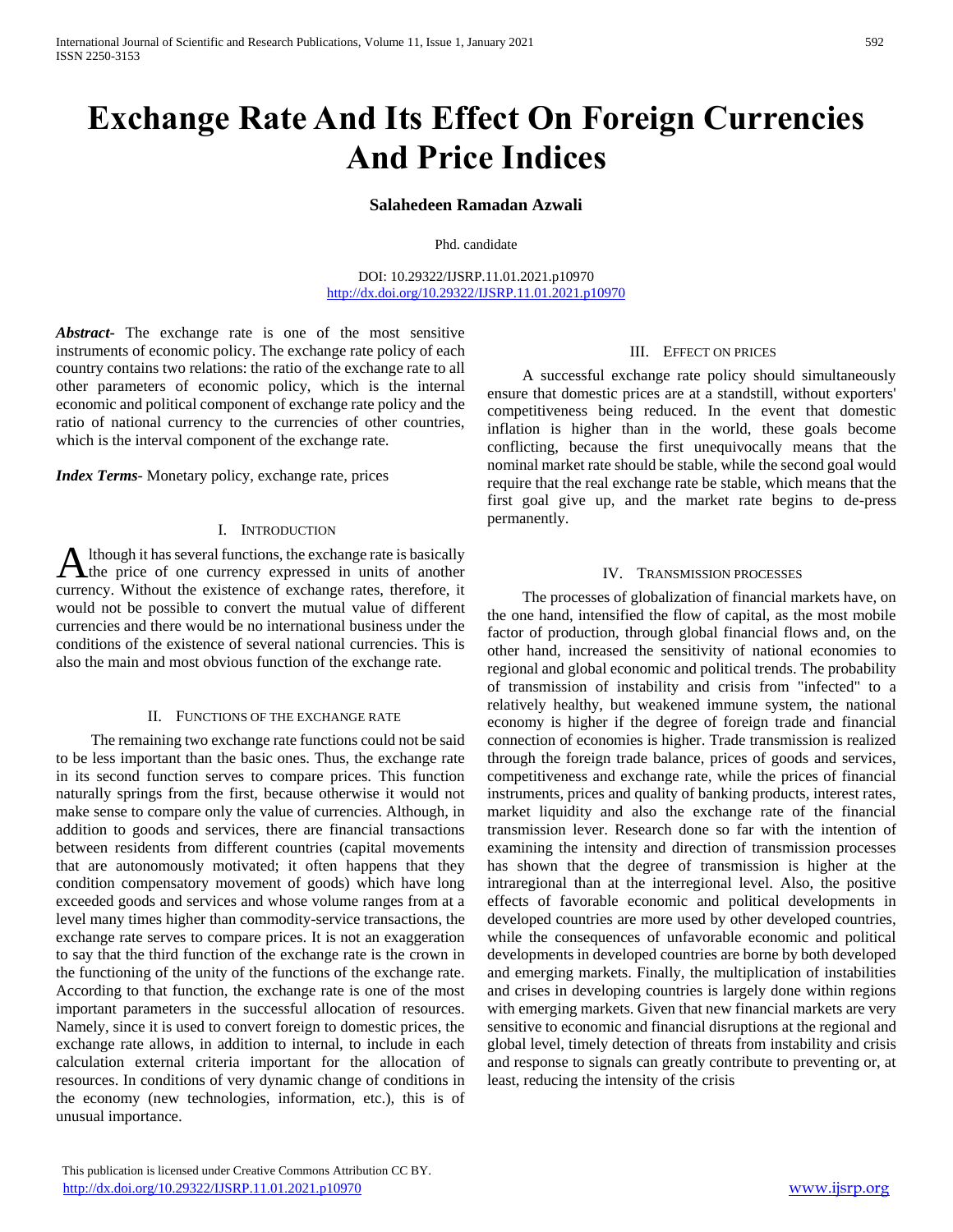# **Exchange Rate And Its Effect On Foreign Currencies And Price Indices**

# **Salahedeen Ramadan Azwali**

Phd. candidate

DOI: 10.29322/IJSRP.11.01.2021.p10970 <http://dx.doi.org/10.29322/IJSRP.11.01.2021.p10970>

*Abstract***-** The exchange rate is one of the most sensitive instruments of economic policy. The exchange rate policy of each country contains two relations: the ratio of the exchange rate to all other parameters of economic policy, which is the internal economic and political component of exchange rate policy and the ratio of national currency to the currencies of other countries, which is the interval component of the exchange rate.

*Index Terms*- Monetary policy, exchange rate, prices

## I. INTRODUCTION

lthough it has several functions, the exchange rate is basically Although it has several functions, the exchange rate is basically<br>the price of one currency expressed in units of another currency. Without the existence of exchange rates, therefore, it would not be possible to convert the mutual value of different currencies and there would be no international business under the conditions of the existence of several national currencies. This is also the main and most obvious function of the exchange rate.

## II. FUNCTIONS OF THE EXCHANGE RATE

 The remaining two exchange rate functions could not be said to be less important than the basic ones. Thus, the exchange rate in its second function serves to compare prices. This function naturally springs from the first, because otherwise it would not make sense to compare only the value of currencies. Although, in addition to goods and services, there are financial transactions between residents from different countries (capital movements that are autonomously motivated; it often happens that they condition compensatory movement of goods) which have long exceeded goods and services and whose volume ranges from at a level many times higher than commodity-service transactions, the exchange rate serves to compare prices. It is not an exaggeration to say that the third function of the exchange rate is the crown in the functioning of the unity of the functions of the exchange rate. According to that function, the exchange rate is one of the most important parameters in the successful allocation of resources. Namely, since it is used to convert foreign to domestic prices, the exchange rate allows, in addition to internal, to include in each calculation external criteria important for the allocation of resources. In conditions of very dynamic change of conditions in the economy (new technologies, information, etc.), this is of unusual importance.

III. EFFECT ON PRICES

 A successful exchange rate policy should simultaneously ensure that domestic prices are at a standstill, without exporters' competitiveness being reduced. In the event that domestic inflation is higher than in the world, these goals become conflicting, because the first unequivocally means that the nominal market rate should be stable, while the second goal would require that the real exchange rate be stable, which means that the first goal give up, and the market rate begins to de-press permanently.

## IV. TRANSMISSION PROCESSES

 The processes of globalization of financial markets have, on the one hand, intensified the flow of capital, as the most mobile factor of production, through global financial flows and, on the other hand, increased the sensitivity of national economies to regional and global economic and political trends. The probability of transmission of instability and crisis from "infected" to a relatively healthy, but weakened immune system, the national economy is higher if the degree of foreign trade and financial connection of economies is higher. Trade transmission is realized through the foreign trade balance, prices of goods and services, competitiveness and exchange rate, while the prices of financial instruments, prices and quality of banking products, interest rates, market liquidity and also the exchange rate of the financial transmission lever. Research done so far with the intention of examining the intensity and direction of transmission processes has shown that the degree of transmission is higher at the intraregional than at the interregional level. Also, the positive effects of favorable economic and political developments in developed countries are more used by other developed countries, while the consequences of unfavorable economic and political developments in developed countries are borne by both developed and emerging markets. Finally, the multiplication of instabilities and crises in developing countries is largely done within regions with emerging markets. Given that new financial markets are very sensitive to economic and financial disruptions at the regional and global level, timely detection of threats from instability and crisis and response to signals can greatly contribute to preventing or, at least, reducing the intensity of the crisis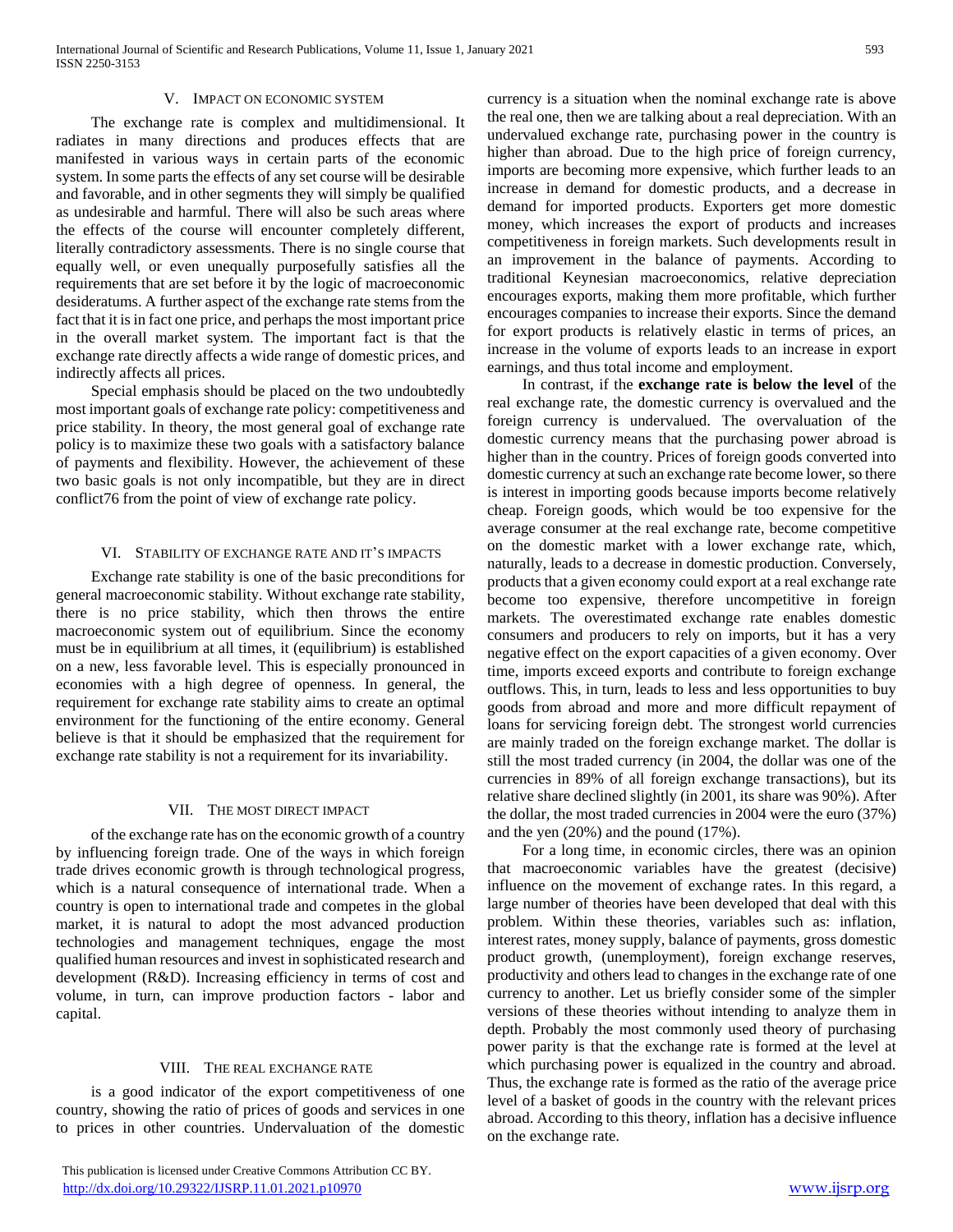## V. IMPACT ON ECONOMIC SYSTEM

 The exchange rate is complex and multidimensional. It radiates in many directions and produces effects that are manifested in various ways in certain parts of the economic system. In some parts the effects of any set course will be desirable and favorable, and in other segments they will simply be qualified as undesirable and harmful. There will also be such areas where the effects of the course will encounter completely different, literally contradictory assessments. There is no single course that equally well, or even unequally purposefully satisfies all the requirements that are set before it by the logic of macroeconomic desideratums. A further aspect of the exchange rate stems from the fact that it is in fact one price, and perhaps the most important price in the overall market system. The important fact is that the exchange rate directly affects a wide range of domestic prices, and indirectly affects all prices.

 Special emphasis should be placed on the two undoubtedly most important goals of exchange rate policy: competitiveness and price stability. In theory, the most general goal of exchange rate policy is to maximize these two goals with a satisfactory balance of payments and flexibility. However, the achievement of these two basic goals is not only incompatible, but they are in direct conflict76 from the point of view of exchange rate policy.

#### VI. STABILITY OF EXCHANGE RATE AND IT'S IMPACTS

 Exchange rate stability is one of the basic preconditions for general macroeconomic stability. Without exchange rate stability, there is no price stability, which then throws the entire macroeconomic system out of equilibrium. Since the economy must be in equilibrium at all times, it (equilibrium) is established on a new, less favorable level. This is especially pronounced in economies with a high degree of openness. In general, the requirement for exchange rate stability aims to create an optimal environment for the functioning of the entire economy. General believe is that it should be emphasized that the requirement for exchange rate stability is not a requirement for its invariability.

## VII. THE MOST DIRECT IMPACT

 of the exchange rate has on the economic growth of a country by influencing foreign trade. One of the ways in which foreign trade drives economic growth is through technological progress, which is a natural consequence of international trade. When a country is open to international trade and competes in the global market, it is natural to adopt the most advanced production technologies and management techniques, engage the most qualified human resources and invest in sophisticated research and development (R&D). Increasing efficiency in terms of cost and volume, in turn, can improve production factors - labor and capital.

## VIII. THE REAL EXCHANGE RATE

 is a good indicator of the export competitiveness of one country, showing the ratio of prices of goods and services in one to prices in other countries. Undervaluation of the domestic

currency is a situation when the nominal exchange rate is above the real one, then we are talking about a real depreciation. With an undervalued exchange rate, purchasing power in the country is higher than abroad. Due to the high price of foreign currency, imports are becoming more expensive, which further leads to an increase in demand for domestic products, and a decrease in demand for imported products. Exporters get more domestic money, which increases the export of products and increases competitiveness in foreign markets. Such developments result in an improvement in the balance of payments. According to traditional Keynesian macroeconomics, relative depreciation encourages exports, making them more profitable, which further encourages companies to increase their exports. Since the demand for export products is relatively elastic in terms of prices, an increase in the volume of exports leads to an increase in export earnings, and thus total income and employment.

 In contrast, if the **exchange rate is below the level** of the real exchange rate, the domestic currency is overvalued and the foreign currency is undervalued. The overvaluation of the domestic currency means that the purchasing power abroad is higher than in the country. Prices of foreign goods converted into domestic currency at such an exchange rate become lower, so there is interest in importing goods because imports become relatively cheap. Foreign goods, which would be too expensive for the average consumer at the real exchange rate, become competitive on the domestic market with a lower exchange rate, which, naturally, leads to a decrease in domestic production. Conversely, products that a given economy could export at a real exchange rate become too expensive, therefore uncompetitive in foreign markets. The overestimated exchange rate enables domestic consumers and producers to rely on imports, but it has a very negative effect on the export capacities of a given economy. Over time, imports exceed exports and contribute to foreign exchange outflows. This, in turn, leads to less and less opportunities to buy goods from abroad and more and more difficult repayment of loans for servicing foreign debt. The strongest world currencies are mainly traded on the foreign exchange market. The dollar is still the most traded currency (in 2004, the dollar was one of the currencies in 89% of all foreign exchange transactions), but its relative share declined slightly (in 2001, its share was 90%). After the dollar, the most traded currencies in 2004 were the euro (37%) and the yen (20%) and the pound (17%).

 For a long time, in economic circles, there was an opinion that macroeconomic variables have the greatest (decisive) influence on the movement of exchange rates. In this regard, a large number of theories have been developed that deal with this problem. Within these theories, variables such as: inflation, interest rates, money supply, balance of payments, gross domestic product growth, (unemployment), foreign exchange reserves, productivity and others lead to changes in the exchange rate of one currency to another. Let us briefly consider some of the simpler versions of these theories without intending to analyze them in depth. Probably the most commonly used theory of purchasing power parity is that the exchange rate is formed at the level at which purchasing power is equalized in the country and abroad. Thus, the exchange rate is formed as the ratio of the average price level of a basket of goods in the country with the relevant prices abroad. According to this theory, inflation has a decisive influence on the exchange rate.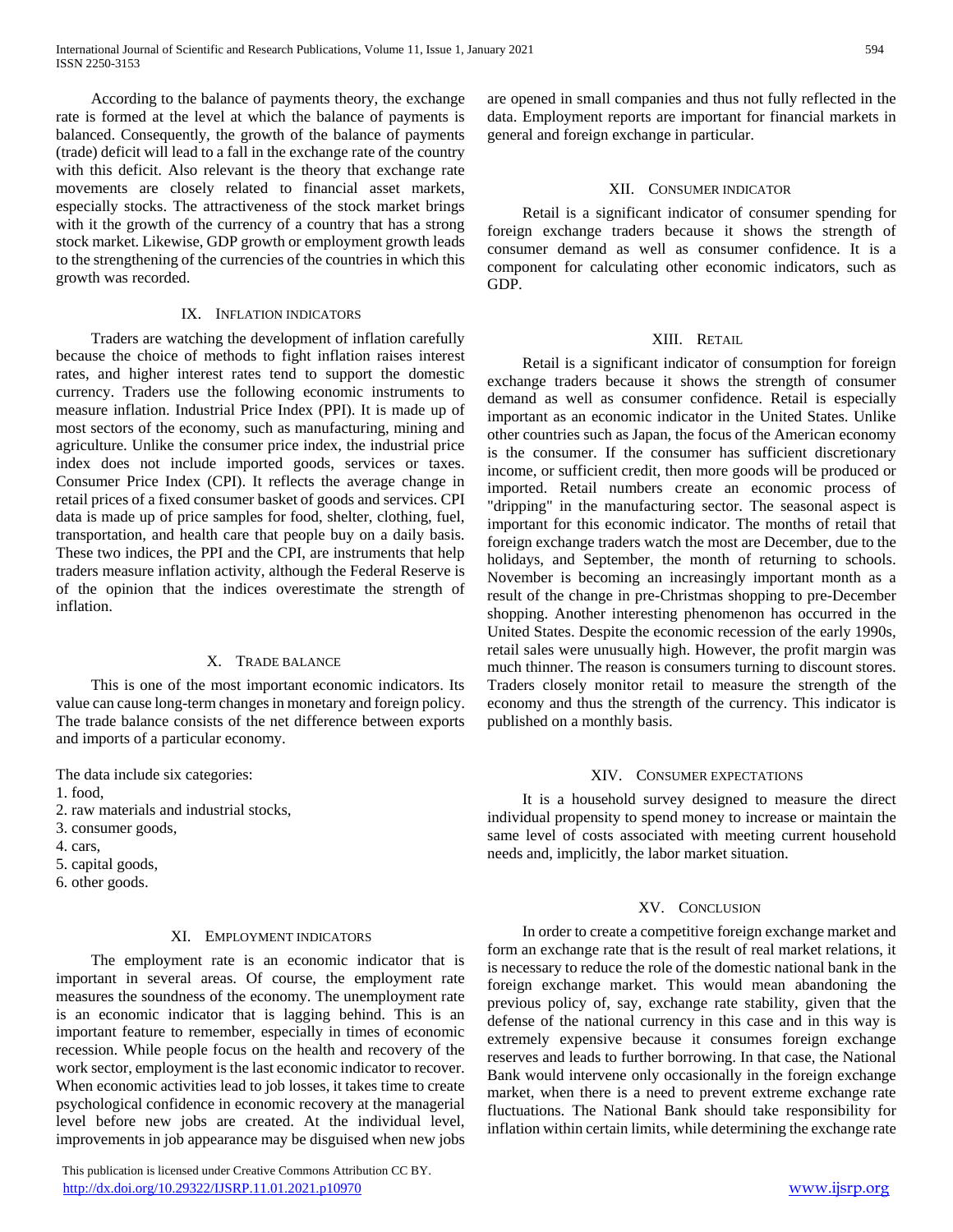According to the balance of payments theory, the exchange rate is formed at the level at which the balance of payments is balanced. Consequently, the growth of the balance of payments (trade) deficit will lead to a fall in the exchange rate of the country with this deficit. Also relevant is the theory that exchange rate movements are closely related to financial asset markets, especially stocks. The attractiveness of the stock market brings with it the growth of the currency of a country that has a strong stock market. Likewise, GDP growth or employment growth leads to the strengthening of the currencies of the countries in which this growth was recorded.

# IX. INFLATION INDICATORS

 Traders are watching the development of inflation carefully because the choice of methods to fight inflation raises interest rates, and higher interest rates tend to support the domestic currency. Traders use the following economic instruments to measure inflation. Industrial Price Index (PPI). It is made up of most sectors of the economy, such as manufacturing, mining and agriculture. Unlike the consumer price index, the industrial price index does not include imported goods, services or taxes. Consumer Price Index (CPI). It reflects the average change in retail prices of a fixed consumer basket of goods and services. CPI data is made up of price samples for food, shelter, clothing, fuel, transportation, and health care that people buy on a daily basis. These two indices, the PPI and the CPI, are instruments that help traders measure inflation activity, although the Federal Reserve is of the opinion that the indices overestimate the strength of inflation.

## X. TRADE BALANCE

 This is one of the most important economic indicators. Its value can cause long-term changes in monetary and foreign policy. The trade balance consists of the net difference between exports and imports of a particular economy.

The data include six categories:

- 1. food,
- 2. raw materials and industrial stocks,
- 3. consumer goods,
- 4. cars,

5. capital goods,

6. other goods.

# XI. EMPLOYMENT INDICATORS

 The employment rate is an economic indicator that is important in several areas. Of course, the employment rate measures the soundness of the economy. The unemployment rate is an economic indicator that is lagging behind. This is an important feature to remember, especially in times of economic recession. While people focus on the health and recovery of the work sector, employment is the last economic indicator to recover. When economic activities lead to job losses, it takes time to create psychological confidence in economic recovery at the managerial level before new jobs are created. At the individual level, improvements in job appearance may be disguised when new jobs

 This publication is licensed under Creative Commons Attribution CC BY. <http://dx.doi.org/10.29322/IJSRP.11.01.2021.p10970> [www.ijsrp.org](http://ijsrp.org/)

are opened in small companies and thus not fully reflected in the data. Employment reports are important for financial markets in general and foreign exchange in particular.

## XII. CONSUMER INDICATOR

 Retail is a significant indicator of consumer spending for foreign exchange traders because it shows the strength of consumer demand as well as consumer confidence. It is a component for calculating other economic indicators, such as GDP.

#### XIII. RETAIL

 Retail is a significant indicator of consumption for foreign exchange traders because it shows the strength of consumer demand as well as consumer confidence. Retail is especially important as an economic indicator in the United States. Unlike other countries such as Japan, the focus of the American economy is the consumer. If the consumer has sufficient discretionary income, or sufficient credit, then more goods will be produced or imported. Retail numbers create an economic process of "dripping" in the manufacturing sector. The seasonal aspect is important for this economic indicator. The months of retail that foreign exchange traders watch the most are December, due to the holidays, and September, the month of returning to schools. November is becoming an increasingly important month as a result of the change in pre-Christmas shopping to pre-December shopping. Another interesting phenomenon has occurred in the United States. Despite the economic recession of the early 1990s, retail sales were unusually high. However, the profit margin was much thinner. The reason is consumers turning to discount stores. Traders closely monitor retail to measure the strength of the economy and thus the strength of the currency. This indicator is published on a monthly basis.

#### XIV. CONSUMER EXPECTATIONS

 It is a household survey designed to measure the direct individual propensity to spend money to increase or maintain the same level of costs associated with meeting current household needs and, implicitly, the labor market situation.

## XV. CONCLUSION

 In order to create a competitive foreign exchange market and form an exchange rate that is the result of real market relations, it is necessary to reduce the role of the domestic national bank in the foreign exchange market. This would mean abandoning the previous policy of, say, exchange rate stability, given that the defense of the national currency in this case and in this way is extremely expensive because it consumes foreign exchange reserves and leads to further borrowing. In that case, the National Bank would intervene only occasionally in the foreign exchange market, when there is a need to prevent extreme exchange rate fluctuations. The National Bank should take responsibility for inflation within certain limits, while determining the exchange rate